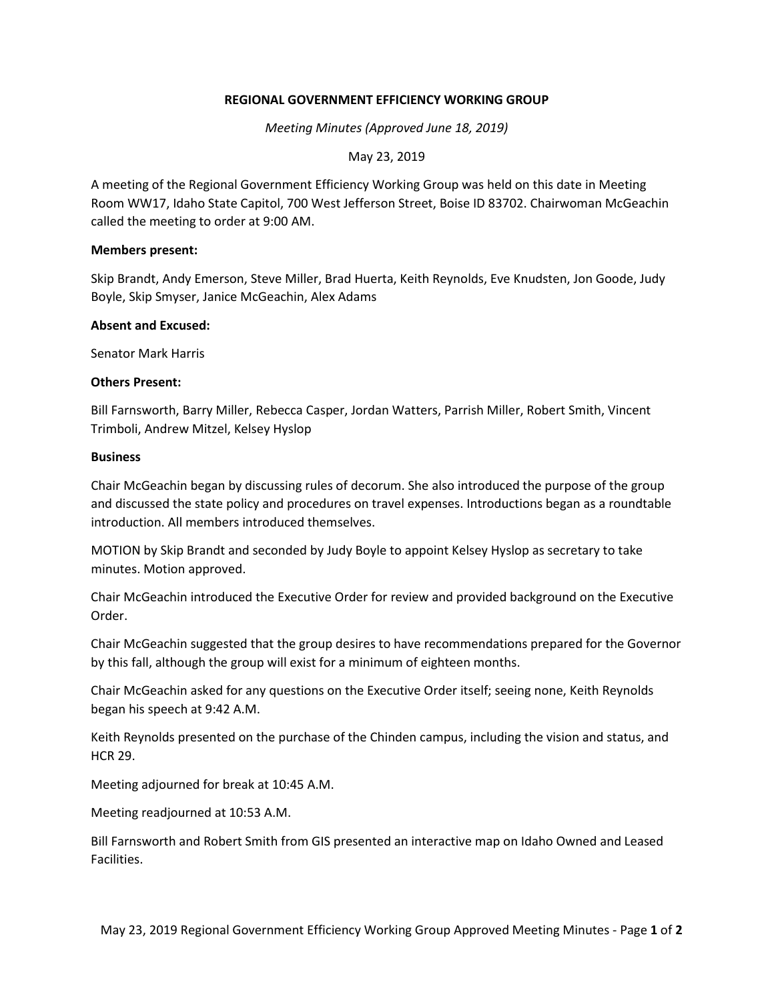# **REGIONAL GOVERNMENT EFFICIENCY WORKING GROUP**

*Meeting Minutes (Approved June 18, 2019)*

May 23, 2019

A meeting of the Regional Government Efficiency Working Group was held on this date in Meeting Room WW17, Idaho State Capitol, 700 West Jefferson Street, Boise ID 83702. Chairwoman McGeachin called the meeting to order at 9:00 AM.

## **Members present:**

Skip Brandt, Andy Emerson, Steve Miller, Brad Huerta, Keith Reynolds, Eve Knudsten, Jon Goode, Judy Boyle, Skip Smyser, Janice McGeachin, Alex Adams

# **Absent and Excused:**

Senator Mark Harris

# **Others Present:**

Bill Farnsworth, Barry Miller, Rebecca Casper, Jordan Watters, Parrish Miller, Robert Smith, Vincent Trimboli, Andrew Mitzel, Kelsey Hyslop

# **Business**

Chair McGeachin began by discussing rules of decorum. She also introduced the purpose of the group and discussed the state policy and procedures on travel expenses. Introductions began as a roundtable introduction. All members introduced themselves.

MOTION by Skip Brandt and seconded by Judy Boyle to appoint Kelsey Hyslop as secretary to take minutes. Motion approved.

Chair McGeachin introduced the Executive Order for review and provided background on the Executive Order.

Chair McGeachin suggested that the group desires to have recommendations prepared for the Governor by this fall, although the group will exist for a minimum of eighteen months.

Chair McGeachin asked for any questions on the Executive Order itself; seeing none, Keith Reynolds began his speech at 9:42 A.M.

Keith Reynolds presented on the purchase of the Chinden campus, including the vision and status, and HCR 29.

Meeting adjourned for break at 10:45 A.M.

Meeting readjourned at 10:53 A.M.

Bill Farnsworth and Robert Smith from GIS presented an interactive map on Idaho Owned and Leased Facilities.